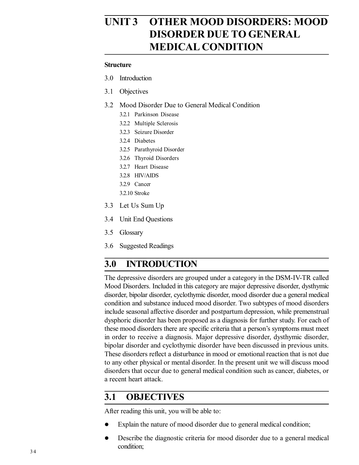# **UNIT 3 OTHER MOOD DISORDERS: MOOD DISORDER DUE TO GENERAL MEDICAL CONDITION**

#### **Structure**

- 3.0 Introduction
- 3.1 Objectives
- 3.2 Mood Disorder Due to General Medical Condition
	- 3.2.1 Parkinson Disease
	- 3.2.2 Multiple Sclerosis
	- 3.2.3 Seizure Disorder
	- 3.2.4 Diabetes
	- 3.2.5 Parathyroid Disorder
	- 3.2.6 Thyroid Disorders
	- 3.2.7 Heart Disease
	- 3.2.8 HIV/AIDS
	- 3.2.9 Cancer
	- 3.2.10 Stroke
- 3.3 Let Us Sum Up
- 3.4 Unit End Questions
- 3.5 Glossary
- 3.6 Suggested Readings

### **3.0 INTRODUCTION**

The depressive disorders are grouped under a category in the DSM-IV-TR called Mood Disorders. Included in this category are major depressive disorder, dysthymic disorder, bipolar disorder, cyclothymic disorder, mood disorder due a general medical condition and substance induced mood disorder. Two subtypes of mood disorders include seasonal affective disorder and postpartum depression, while premenstrual dysphoric disorder has been proposed as a diagnosis for further study. For each of these mood disorders there are specific criteria that a person's symptoms must meet in order to receive a diagnosis. Major depressive disorder, dysthymic disorder, bipolar disorder and cyclothymic disorder have been discussed in previous units. These disorders reflect a disturbance in mood or emotional reaction that is not due to any other physical or mental disorder. In the present unit we will discuss mood disorders that occur due to general medical condition such as cancer, diabetes, or a recent heart attack.

### **3.1 OBJECTIVES**

After reading this unit, you will be able to:

- Explain the nature of mood disorder due to general medical condition;
- Describe the diagnostic criteria for mood disorder due to a general medical condition;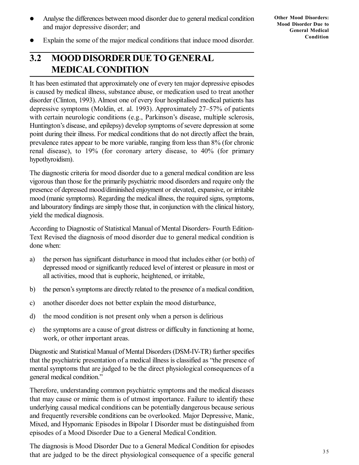Analyse the differences between mood disorder due to general medical condition and major depressive disorder; and

Explain the some of the major medical conditions that induce mood disorder.

## **3.2 MOOD DISORDER DUE TO GENERAL MEDICAL CONDITION**

It has been estimated that approximately one of every ten major depressive episodes is caused by medical illness, substance abuse, or medication used to treat another disorder (Clinton, 1993). Almost one of every four hospitalised medical patients has depressive symptoms (Moldin, et. al. 1993). Approximately 27–57% of patients with certain neurologic conditions (e.g., Parkinson's disease, multiple sclerosis, Huntington's disease, and epilepsy) develop symptoms of severe depression at some point during their illness. For medical conditions that do not directly affect the brain, prevalence rates appear to be more variable, ranging from less than 8% (for chronic renal disease), to 19% (for coronary artery disease, to 40% (for primary hypothyroidism).

The diagnostic criteria for mood disorder due to a general medical condition are less vigorous than those for the primarily psychiatric mood disorders and require only the presence of depressed mood/diminished enjoyment or elevated, expansive, or irritable mood (manic symptoms). Regarding the medical illness, the required signs, symptoms, and labouratory findings are simply those that, in conjunction with the clinical history, yield the medical diagnosis.

According to Diagnostic of Statistical Manual of Mental Disorders- Fourth Edition-Text Revised the diagnosis of mood disorder due to general medical condition is done when:

- a) the person has significant disturbance in mood that includes either (or both) of depressed mood or significantly reduced level of interest or pleasure in most or all activities, mood that is euphoric, heightened, or irritable,
- b) the person's symptoms are directly related to the presence of a medical condition,
- c) another disorder does not better explain the mood disturbance,
- d) the mood condition is not present only when a person is delirious
- e) the symptoms are a cause of great distress or difficulty in functioning at home, work, or other important areas.

Diagnostic and Statistical Manual of Mental Disorders (DSM-IV-TR) further specifies that the psychiatric presentation of a medical illness is classified as "the presence of mental symptoms that are judged to be the direct physiological consequences of a general medical condition."

Therefore, understanding common psychiatric symptoms and the medical diseases that may cause or mimic them is of utmost importance. Failure to identify these underlying causal medical conditions can be potentially dangerous because serious and frequently reversible conditions can be overlooked. Major Depressive, Manic, Mixed, and Hypomanic Episodes in Bipolar I Disorder must be distinguished from episodes of a Mood Disorder Due to a General Medical Condition.

The diagnosis is Mood Disorder Due to a General Medical Condition for episodes that are judged to be the direct physiological consequence of a specific general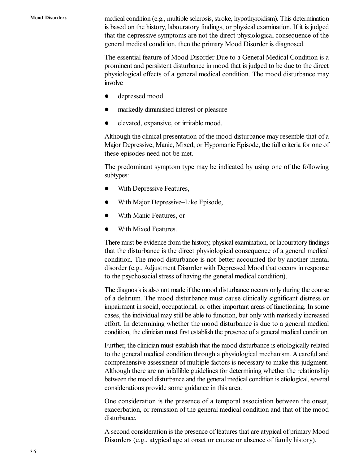**Mood Disorders**

medical condition (e.g., multiple sclerosis, stroke, hypothyroidism). This determination is based on the history, labouratory findings, or physical examination. If it is judged that the depressive symptoms are not the direct physiological consequence of the general medical condition, then the primary Mood Disorder is diagnosed.

The essential feature of Mood Disorder Due to a General Medical Condition is a prominent and persistent disturbance in mood that is judged to be due to the direct physiological effects of a general medical condition. The mood disturbance may involve

- depressed mood
- markedly diminished interest or pleasure
- elevated, expansive, or irritable mood.

Although the clinical presentation of the mood disturbance may resemble that of a Major Depressive, Manic, Mixed, or Hypomanic Episode, the full criteria for one of these episodes need not be met.

The predominant symptom type may be indicated by using one of the following subtypes:

- With Depressive Features,
- With Major Depressive–Like Episode,
- With Manic Features, or
- With Mixed Features.

There must be evidence from the history, physical examination, or labouratory findings that the disturbance is the direct physiological consequence of a general medical condition. The mood disturbance is not better accounted for by another mental disorder (e.g., Adjustment Disorder with Depressed Mood that occurs in response to the psychosocial stress of having the general medical condition).

The diagnosis is also not made if the mood disturbance occurs only during the course of a delirium. The mood disturbance must cause clinically significant distress or impairment in social, occupational, or other important areas of functioning. In some cases, the individual may still be able to function, but only with markedly increased effort. In determining whether the mood disturbance is due to a general medical condition, the clinician must first establish the presence of a general medical condition.

Further, the clinician must establish that the mood disturbance is etiologically related to the general medical condition through a physiological mechanism. A careful and comprehensive assessment of multiple factors is necessary to make this judgment. Although there are no infallible guidelines for determining whether the relationship between the mood disturbance and the general medical condition is etiological, several considerations provide some guidance in this area.

One consideration is the presence of a temporal association between the onset, exacerbation, or remission of the general medical condition and that of the mood disturbance.

A second consideration is the presence of features that are atypical of primary Mood Disorders (e.g., atypical age at onset or course or absence of family history).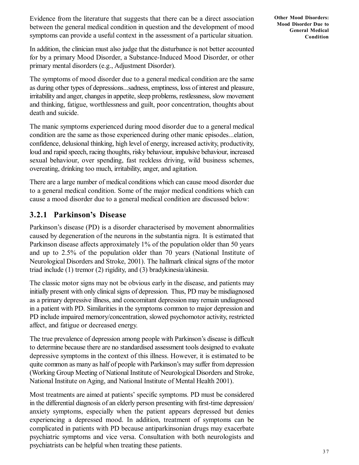Evidence from the literature that suggests that there can be a direct association between the general medical condition in question and the development of mood symptoms can provide a useful context in the assessment of a particular situation.

In addition, the clinician must also judge that the disturbance is not better accounted for by a primary Mood Disorder, a Substance-Induced Mood Disorder, or other primary mental disorders (e.g., Adjustment Disorder).

The symptoms of mood disorder due to a general medical condition are the same as during other types of depressions...sadness, emptiness, loss of interest and pleasure, irritability and anger, changes in appetite, sleep problems, restlessness, slow movement and thinking, fatigue, worthlessness and guilt, poor concentration, thoughts about death and suicide.

The manic symptoms experienced during mood disorder due to a general medical condition are the same as those experienced during other manic episodes...elation, confidence, delusional thinking, high level of energy, increased activity, productivity, loud and rapid speech, racing thoughts, risky behaviour, impulsive behaviour, increased sexual behaviour, over spending, fast reckless driving, wild business schemes, overeating, drinking too much, irritability, anger, and agitation.

There are a large number of medical conditions which can cause mood disorder due to a general medical condition. Some of the major medical conditions which can cause a mood disorder due to a general medical condition are discussed below:

### **3.2.1 Parkinson's Disease**

Parkinson's disease (PD) is a disorder characterised by movement abnormalities caused by degeneration of the neurons in the substantia nigra. It is estimated that Parkinson disease affects approximately 1% of the population older than 50 years and up to 2.5% of the population older than 70 years (National Institute of Neurological Disorders and Stroke, 2001). The hallmark clinical signs of the motor triad include (1) tremor (2) rigidity, and (3) bradykinesia/akinesia.

The classic motor signs may not be obvious early in the disease, and patients may initially present with only clinical signs of depression. Thus, PD may be misdiagnosed as a primary depressive illness, and concomitant depression may remain undiagnosed in a patient with PD. Similarities in the symptoms common to major depression and PD include impaired memory/concentration, slowed psychomotor activity, restricted affect, and fatigue or decreased energy.

The true prevalence of depression among people with Parkinson's disease is difficult to determine because there are no standardised assessment tools designed to evaluate depressive symptoms in the context of this illness. However, it is estimated to be quite common as many as half of people with Parkinson's may suffer from depression (Working Group Meeting of National Institute of Neurological Disorders and Stroke, National Institute on Aging, and National Institute of Mental Health 2001).

Most treatments are aimed at patients' specific symptoms. PD must be considered in the differential diagnosis of an elderly person presenting with first-time depression/ anxiety symptoms, especially when the patient appears depressed but denies experiencing a depressed mood. In addition, treatment of symptoms can be complicated in patients with PD because antiparkinsonian drugs may exacerbate psychiatric symptoms and vice versa. Consultation with both neurologists and psychiatrists can be helpful when treating these patients.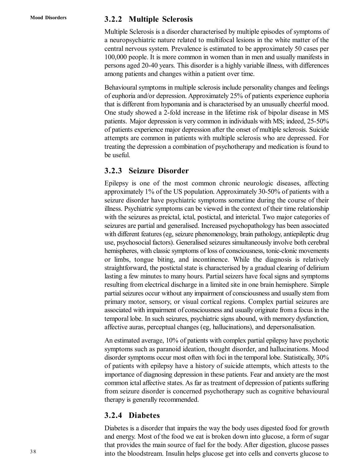#### **3.2.2 Multiple Sclerosis**

Multiple Sclerosis is a disorder characterised by multiple episodes of symptoms of a neuropsychiatric nature related to multifocal lesions in the white matter of the central nervous system. Prevalence is estimated to be approximately 50 cases per 100,000 people. It is more common in women than in men and usually manifests in persons aged 20-40 years. This disorder is a highly variable illness, with differences among patients and changes within a patient over time.

Behavioural symptoms in multiple sclerosis include personality changes and feelings of euphoria and/or depression. Approximately 25% of patients experience euphoria that is different from hypomania and is characterised by an unusually cheerful mood. One study showed a 2-fold increase in the lifetime risk of bipolar disease in MS patients. Major depression is very common in individuals with MS; indeed, 25-50% of patients experience major depression after the onset of multiple sclerosis. Suicide attempts are common in patients with multiple sclerosis who are depressed. For treating the depression a combination of psychotherapy and medication is found to be useful.

### **3.2.3 Seizure Disorder**

Epilepsy is one of the most common chronic neurologic diseases, affecting approximately 1% of the US population. Approximately 30-50% of patients with a seizure disorder have psychiatric symptoms sometime during the course of their illness. Psychiatric symptoms can be viewed in the context of their time relationship with the seizures as preictal, ictal, postictal, and interictal. Two major categories of seizures are partial and generalised. Increased psychopathology has been associated with different features (eg, seizure phenomenology, brain pathology, antiepileptic drug use, psychosocial factors). Generalised seizures simultaneously involve both cerebral hemispheres, with classic symptoms of loss of consciousness, tonic-clonic movements or limbs, tongue biting, and incontinence. While the diagnosis is relatively straightforward, the postictal state is characterised by a gradual clearing of delirium lasting a few minutes to many hours. Partial seizers have focal signs and symptoms resulting from electrical discharge in a limited site in one brain hemisphere. Simple partial seizures occur without any impairment of consciousness and usually stem from primary motor, sensory, or visual cortical regions. Complex partial seizures are associated with impairment of consciousness and usually originate from a focus in the temporal lobe. In such seizures, psychiatric signs abound, with memory dysfunction, affective auras, perceptual changes (eg, hallucinations), and depersonalisation.

An estimated average, 10% of patients with complex partial epilepsy have psychotic symptoms such as paranoid ideation, thought disorder, and hallucinations. Mood disorder symptoms occur most often with foci in the temporal lobe. Statistically, 30% of patients with epilepsy have a history of suicide attempts, which attests to the importance of diagnosing depression in these patients. Fear and anxiety are the most common ictal affective states. As far as treatment of depression of patients suffering from seizure disorder is concerned psychotherapy such as cognitive behavioural therapy is generally recommended.

#### **3.2.4 Diabetes**

Diabetes is a disorder that impairs the way the body uses digested food for growth and energy. Most of the food we eat is broken down into glucose, a form of sugar that provides the main source of fuel for the body. After digestion, glucose passes into the bloodstream. Insulin helps glucose get into cells and converts glucose to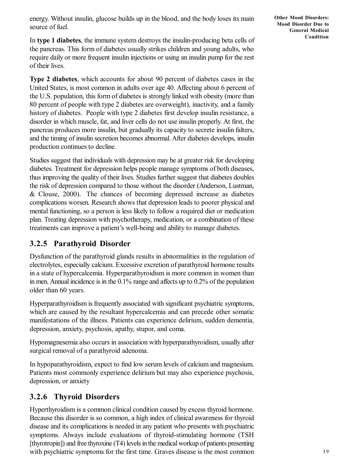energy. Without insulin, glucose builds up in the blood, and the body loses its main source of fuel.

**Other Mood Disorders: Mood Disorder Due to General Medical Condition**

In **type 1 diabetes**, the immune system destroys the insulin-producing beta cells of the pancreas. This form of diabetes usually strikes children and young adults, who require daily or more frequent insulin injections or using an insulin pump for the rest of their lives.

**Type 2 diabetes**, which accounts for about 90 percent of diabetes cases in the United States, is most common in adults over age 40. Affecting about 6 percent of the U.S. population, this form of diabetes is strongly linked with obesity (more than 80 percent of people with type 2 diabetes are overweight), inactivity, and a family history of diabetes. People with type 2 diabetes first develop insulin resistance, a disorder in which muscle, fat, and liver cells do not use insulin properly. At first, the pancreas produces more insulin, but gradually its capacity to secrete insulin falters, and the timing of insulin secretion becomes abnormal. After diabetes develops, insulin production continues to decline.

Studies suggest that individuals with depression may be at greater risk for developing diabetes. Treatment for depression helps people manage symptoms of both diseases, thus improving the quality of their lives. Studies further suggest that diabetes doubles the risk of depression compared to those without the disorder (Anderson, Lustman, & Clouse, 2000). The chances of becoming depressed increase as diabetes complications worsen. Research shows that depression leads to poorer physical and mental functioning, so a person is less likely to follow a required diet or medication plan. Treating depression with psychotherapy, medication, or a combination of these treatments can improve a patient's well-being and ability to manage diabetes.

### **3.2.5 Parathyroid Disorder**

Dysfunction of the parathyroid glands results in abnormalities in the regulation of electrolytes, especially calcium. Excessive excretion of parathyroid hormone results in a state of hypercalcemia. Hyperparathyroidism is more common in women than in men. Annual incidence is in the 0.1% range and affects up to 0.2% of the population older than 60 years.

Hyperparathyroidism is frequently associated with significant psychiatric symptoms, which are caused by the resultant hypercalcemia and can precede other somatic manifestations of the illness. Patients can experience delirium, sudden dementia, depression, anxiety, psychosis, apathy, stupor, and coma.

Hypomagnesemia also occurs in association with hyperparathyroidism, usually after surgical removal of a parathyroid adenoma.

In hypoparathyroidism, expect to find low serum levels of calcium and magnesium. Patients most commonly experience delirium but may also experience psychosis, depression, or anxiety

### **3.2.6 Thyroid Disorders**

Hyperthyroidism is a common clinical condition caused by excess thyroid hormone. Because this disorder is so common, a high index of clinical awareness for thyroid disease and its complications is needed in any patient who presents with psychiatric symptoms. Always include evaluations of thyroid-stimulating hormone (TSH [thyrotropin]) and free thyroxine (T4) levels in the medical workup of patients presenting with psychiatric symptoms for the first time. Graves disease is the most common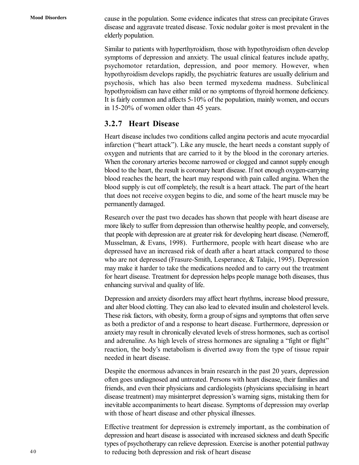cause in the population. Some evidence indicates that stress can precipitate Graves disease and aggravate treated disease. Toxic nodular goiter is most prevalent in the elderly population.

Similar to patients with hyperthyroidism, those with hypothyroidism often develop symptoms of depression and anxiety. The usual clinical features include apathy, psychomotor retardation, depression, and poor memory. However, when hypothyroidism develops rapidly, the psychiatric features are usually delirium and psychosis, which has also been termed myxedema madness. Subclinical hypothyroidism can have either mild or no symptoms of thyroid hormone deficiency. It is fairly common and affects 5-10% of the population, mainly women, and occurs in 15-20% of women older than 45 years.

#### **3.2.7 Heart Disease**

Heart disease includes two conditions called angina pectoris and acute myocardial infarction ("heart attack"). Like any muscle, the heart needs a constant supply of oxygen and nutrients that are carried to it by the blood in the coronary arteries. When the coronary arteries become narrowed or clogged and cannot supply enough blood to the heart, the result is coronary heart disease. If not enough oxygen-carrying blood reaches the heart, the heart may respond with pain called angina. When the blood supply is cut off completely, the result is a heart attack. The part of the heart that does not receive oxygen begins to die, and some of the heart muscle may be permanently damaged.

Research over the past two decades has shown that people with heart disease are more likely to suffer from depression than otherwise healthy people, and conversely, that people with depression are at greater risk for developing heart disease. (Nemeroff, Musselman, & Evans, 1998). Furthermore, people with heart disease who are depressed have an increased risk of death after a heart attack compared to those who are not depressed (Frasure-Smith, Lesperance, & Talajic, 1995). Depression may make it harder to take the medications needed and to carry out the treatment for heart disease. Treatment for depression helps people manage both diseases, thus enhancing survival and quality of life.

Depression and anxiety disorders may affect heart rhythms, increase blood pressure, and alter blood clotting. They can also lead to elevated insulin and cholesterol levels. These risk factors, with obesity, form a group of signs and symptoms that often serve as both a predictor of and a response to heart disease. Furthermore, depression or anxiety may result in chronically elevated levels of stress hormones, such as cortisol and adrenaline. As high levels of stress hormones are signaling a "fight or flight" reaction, the body's metabolism is diverted away from the type of tissue repair needed in heart disease.

Despite the enormous advances in brain research in the past 20 years, depression often goes undiagnosed and untreated. Persons with heart disease, their families and friends, and even their physicians and cardiologists (physicians specialising in heart disease treatment) may misinterpret depression's warning signs, mistaking them for inevitable accompaniments to heart disease. Symptoms of depression may overlap with those of heart disease and other physical illnesses.

Effective treatment for depression is extremely important, as the combination of depression and heart disease is associated with increased sickness and death Specific types of psychotherapy can relieve depression. Exercise is another potential pathway to reducing both depression and risk of heart disease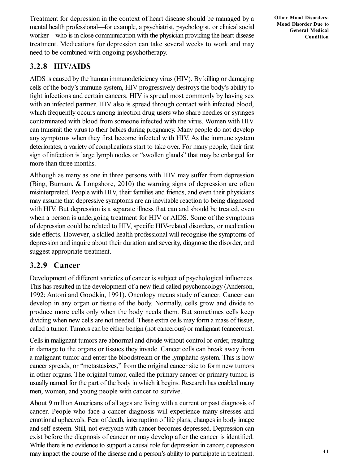Treatment for depression in the context of heart disease should be managed by a mental health professional—for example, a psychiatrist, psychologist, or clinical social worker—who is in close communication with the physician providing the heart disease treatment. Medications for depression can take several weeks to work and may need to be combined with ongoing psychotherapy.

### **3.2.8 HIV/AIDS**

AIDS is caused by the human immunodeficiency virus (HIV). By killing or damaging cells of the body's immune system, HIV progressively destroys the body's ability to fight infections and certain cancers. HIV is spread most commonly by having sex with an infected partner. HIV also is spread through contact with infected blood, which frequently occurs among injection drug users who share needles or syringes contaminated with blood from someone infected with the virus. Women with HIV can transmit the virus to their babies during pregnancy. Many people do not develop any symptoms when they first become infected with HIV. As the immune system deteriorates, a variety of complications start to take over. For many people, their first sign of infection is large lymph nodes or "swollen glands" that may be enlarged for more than three months.

Although as many as one in three persons with HIV may suffer from depression (Bing, Burnam, & Longshore, 2010) the warning signs of depression are often misinterpreted. People with HIV, their families and friends, and even their physicians may assume that depressive symptoms are an inevitable reaction to being diagnosed with HIV. But depression is a separate illness that can and should be treated, even when a person is undergoing treatment for HIV or AIDS. Some of the symptoms of depression could be related to HIV, specific HIV-related disorders, or medication side effects. However, a skilled health professional will recognise the symptoms of depression and inquire about their duration and severity, diagnose the disorder, and suggest appropriate treatment.

### **3.2.9 Cancer**

Development of different varieties of cancer is subject of psychological influences. This has resulted in the development of a new field called psychoncology (Anderson, 1992; Antoni and Goodkin, 1991). Oncology means study of cancer. Cancer can develop in any organ or tissue of the body. Normally, cells grow and divide to produce more cells only when the body needs them. But sometimes cells keep dividing when new cells are not needed. These extra cells may form a mass of tissue, called a tumor. Tumors can be either benign (not cancerous) or malignant (cancerous).

Cells in malignant tumors are abnormal and divide without control or order, resulting in damage to the organs or tissues they invade. Cancer cells can break away from a malignant tumor and enter the bloodstream or the lymphatic system. This is how cancer spreads, or "metastasizes," from the original cancer site to form new tumors in other organs. The original tumor, called the primary cancer or primary tumor, is usually named for the part of the body in which it begins. Research has enabled many men, women, and young people with cancer to survive.

About 9 million Americans of all ages are living with a current or past diagnosis of cancer. People who face a cancer diagnosis will experience many stresses and emotional upheavals. Fear of death, interruption of life plans, changes in body image and self-esteem. Still, not everyone with cancer becomes depressed. Depression can exist before the diagnosis of cancer or may develop after the cancer is identified. While there is no evidence to support a causal role for depression in cancer, depression may impact the course of the disease and a person's ability to participate in treatment.

**Other Mood Disorders: Mood Disorder Due to General Medical Condition**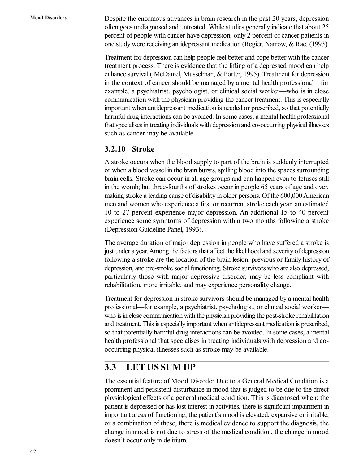Despite the enormous advances in brain research in the past 20 years, depression often goes undiagnosed and untreated. While studies generally indicate that about 25 percent of people with cancer have depression, only 2 percent of cancer patients in one study were receiving antidepressant medication (Regier, Narrow, & Rae, (1993).

Treatment for depression can help people feel better and cope better with the cancer treatment process. There is evidence that the lifting of a depressed mood can help enhance survival ( McDaniel, Musselman, & Porter, 1995). Treatment for depression in the context of cancer should be managed by a mental health professional—for example, a psychiatrist, psychologist, or clinical social worker—who is in close communication with the physician providing the cancer treatment. This is especially important when antidepressant medication is needed or prescribed, so that potentially harmful drug interactions can be avoided. In some cases, a mental health professional that specialises in treating individuals with depression and co-occurring physical illnesses such as cancer may be available.

### **3.2.10 Stroke**

A stroke occurs when the blood supply to part of the brain is suddenly interrupted or when a blood vessel in the brain bursts, spilling blood into the spaces surrounding brain cells. Stroke can occur in all age groups and can happen even to fetuses still in the womb; but three-fourths of strokes occur in people 65 years of age and over, making stroke a leading cause of disability in older persons. Of the 600,000 American men and women who experience a first or recurrent stroke each year, an estimated 10 to 27 percent experience major depression. An additional 15 to 40 percent experience some symptoms of depression within two months following a stroke (Depression Guideline Panel, 1993).

The average duration of major depression in people who have suffered a stroke is just under a year. Among the factors that affect the likelihood and severity of depression following a stroke are the location of the brain lesion, previous or family history of depression, and pre-stroke social functioning. Stroke survivors who are also depressed, particularly those with major depressive disorder, may be less compliant with rehabilitation, more irritable, and may experience personality change.

Treatment for depression in stroke survivors should be managed by a mental health professional—for example, a psychiatrist, psychologist, or clinical social worker who is in close communication with the physician providing the post-stroke rehabilitation and treatment. This is especially important when antidepressant medication is prescribed, so that potentially harmful drug interactions can be avoided. In some cases, a mental health professional that specialises in treating individuals with depression and cooccurring physical illnesses such as stroke may be available.

### **3.3 LET US SUM UP**

The essential feature of Mood Disorder Due to a General Medical Condition is a prominent and persistent disturbance in mood that is judged to be due to the direct physiological effects of a general medical condition. This is diagnosed when: the patient is depressed or has lost interest in activities, there is significant impairment in important areas of functioning, the patient's mood is elevated, expansive or irritable, or a combination of these, there is medical evidence to support the diagnosis, the change in mood is not due to stress of the medical condition. the change in mood doesn't occur only in delirium.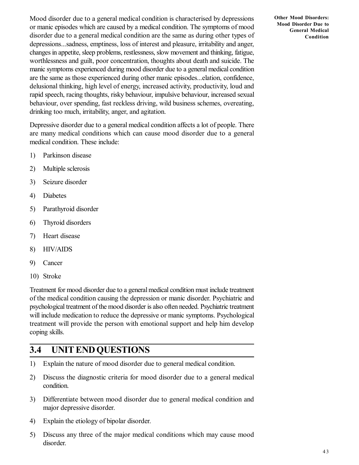Mood disorder due to a general medical condition is characterised by depressions or manic episodes which are caused by a medical condition. The symptoms of mood disorder due to a general medical condition are the same as during other types of depressions...sadness, emptiness, loss of interest and pleasure, irritability and anger, changes in appetite, sleep problems, restlessness, slow movement and thinking, fatigue, worthlessness and guilt, poor concentration, thoughts about death and suicide. The manic symptoms experienced during mood disorder due to a general medical condition are the same as those experienced during other manic episodes...elation, confidence, delusional thinking, high level of energy, increased activity, productivity, loud and rapid speech, racing thoughts, risky behaviour, impulsive behaviour, increased sexual behaviour, over spending, fast reckless driving, wild business schemes, overeating, drinking too much, irritability, anger, and agitation.

Depressive disorder due to a general medical condition affects a lot of people. There are many medical conditions which can cause mood disorder due to a general medical condition. These include:

- 1) Parkinson disease
- 2) Multiple sclerosis
- 3) Seizure disorder
- 4) Diabetes
- 5) Parathyroid disorder
- 6) Thyroid disorders
- 7) Heart disease
- 8) HIV/AIDS
- 9) Cancer
- 10) Stroke

Treatment for mood disorder due to a general medical condition must include treatment of the medical condition causing the depression or manic disorder. Psychiatric and psychological treatment of the mood disorder is also often needed. Psychiatric treatment will include medication to reduce the depressive or manic symptoms. Psychological treatment will provide the person with emotional support and help him develop coping skills.

### **3.4 UNIT END QUESTIONS**

- 1) Explain the nature of mood disorder due to general medical condition.
- 2) Discuss the diagnostic criteria for mood disorder due to a general medical condition.
- 3) Differentiate between mood disorder due to general medical condition and major depressive disorder.
- 4) Explain the etiology of bipolar disorder.
- 5) Discuss any three of the major medical conditions which may cause mood disorder.

**Other Mood Disorders: Mood Disorder Due to General Medical Condition**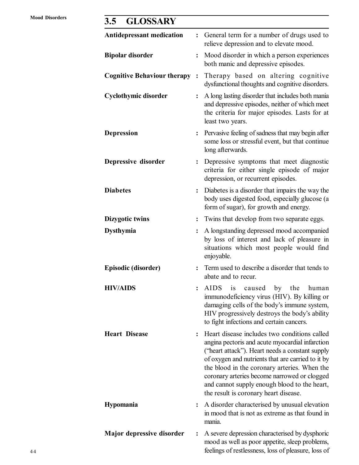### **3.5 GLOSSARY**

| <b>Antidepressant medication</b>    | $\ddot{\cdot}$ | General term for a number of drugs used to<br>relieve depression and to elevate mood.                                                                                                                                                                                                                                                                                                            |
|-------------------------------------|----------------|--------------------------------------------------------------------------------------------------------------------------------------------------------------------------------------------------------------------------------------------------------------------------------------------------------------------------------------------------------------------------------------------------|
| <b>Bipolar disorder</b>             | $\ddot{\cdot}$ | Mood disorder in which a person experiences<br>both manic and depressive episodes.                                                                                                                                                                                                                                                                                                               |
| <b>Cognitive Behaviour therapy:</b> |                | Therapy based on altering cognitive<br>dysfunctional thoughts and cognitive disorders.                                                                                                                                                                                                                                                                                                           |
| Cyclothymic disorder                |                | A long lasting disorder that includes both mania<br>and depressive episodes, neither of which meet<br>the criteria for major episodes. Lasts for at<br>least two years.                                                                                                                                                                                                                          |
| <b>Depression</b>                   |                | Pervasive feeling of sadness that may begin after<br>some loss or stressful event, but that continue<br>long afterwards.                                                                                                                                                                                                                                                                         |
| Depressive disorder                 |                | Depressive symptoms that meet diagnostic<br>criteria for either single episode of major<br>depression, or recurrent episodes.                                                                                                                                                                                                                                                                    |
| <b>Diabetes</b>                     | $\ddot{\cdot}$ | Diabetes is a disorder that impairs the way the<br>body uses digested food, especially glucose (a<br>form of sugar), for growth and energy.                                                                                                                                                                                                                                                      |
| <b>Dizygotic twins</b>              |                | Twins that develop from two separate eggs.                                                                                                                                                                                                                                                                                                                                                       |
| Dysthymia                           |                | A longstanding depressed mood accompanied<br>by loss of interest and lack of pleasure in<br>situations which most people would find<br>enjoyable.                                                                                                                                                                                                                                                |
| <b>Episodic (disorder)</b>          |                | Term used to describe a disorder that tends to<br>abate and to recur.                                                                                                                                                                                                                                                                                                                            |
| <b>HIV/AIDS</b>                     |                | : AIDS is caused by the<br>human<br>immunodeficiency virus (HIV). By killing or<br>damaging cells of the body's immune system,<br>HIV progressively destroys the body's ability<br>to fight infections and certain cancers.                                                                                                                                                                      |
| <b>Heart Disease</b>                |                | Heart disease includes two conditions called<br>angina pectoris and acute myocardial infarction<br>("heart attack"). Heart needs a constant supply<br>of oxygen and nutrients that are carried to it by<br>the blood in the coronary arteries. When the<br>coronary arteries become narrowed or clogged<br>and cannot supply enough blood to the heart,<br>the result is coronary heart disease. |
| <b>Hypomania</b>                    |                | A disorder characterised by unusual elevation<br>in mood that is not as extreme as that found in<br>mania.                                                                                                                                                                                                                                                                                       |
| Major depressive disorder           |                | A severe depression characterised by dysphoric<br>mood as well as poor appetite, sleep problems,<br>feelings of restlessness, loss of pleasure, loss of                                                                                                                                                                                                                                          |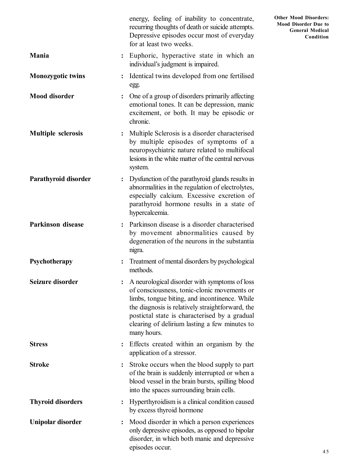|                           |                | energy, feeling of inability to concentrate,<br>recurring thoughts of death or suicide attempts.<br>Depressive episodes occur most of everyday<br>for at least two weeks.                                                                                                                                          |
|---------------------------|----------------|--------------------------------------------------------------------------------------------------------------------------------------------------------------------------------------------------------------------------------------------------------------------------------------------------------------------|
| <b>Mania</b>              | $\ddot{\cdot}$ | Euphoric, hyperactive state in which an<br>individual's judgment is impaired.                                                                                                                                                                                                                                      |
| <b>Monozygotic twins</b>  | :              | Identical twins developed from one fertilised<br>egg.                                                                                                                                                                                                                                                              |
| <b>Mood disorder</b>      | $\ddot{\cdot}$ | One of a group of disorders primarily affecting<br>emotional tones. It can be depression, manic<br>excitement, or both. It may be episodic or<br>chronic.                                                                                                                                                          |
| <b>Multiple sclerosis</b> |                | Multiple Sclerosis is a disorder characterised<br>by multiple episodes of symptoms of a<br>neuropsychiatric nature related to multifocal<br>lesions in the white matter of the central nervous<br>system.                                                                                                          |
| Parathyroid disorder      | $\ddot{\cdot}$ | Dysfunction of the parathyroid glands results in<br>abnormalities in the regulation of electrolytes,<br>especially calcium. Excessive excretion of<br>parathyroid hormone results in a state of<br>hypercalcemia.                                                                                                  |
| <b>Parkinson disease</b>  |                | Parkinson disease is a disorder characterised<br>by movement abnormalities caused by<br>degeneration of the neurons in the substantia<br>nigra.                                                                                                                                                                    |
| <b>Psychotherapy</b>      |                | Treatment of mental disorders by psychological<br>methods.                                                                                                                                                                                                                                                         |
| Seizure disorder          |                | A neurological disorder with symptoms of loss<br>of consciousness, tonic-clonic movements or<br>limbs, tongue biting, and incontinence. While<br>the diagnosis is relatively straightforward, the<br>postictal state is characterised by a gradual<br>clearing of delirium lasting a few minutes to<br>many hours. |
| <b>Stress</b>             |                | Effects created within an organism by the<br>application of a stressor.                                                                                                                                                                                                                                            |
| <b>Stroke</b>             |                | Stroke occurs when the blood supply to part<br>of the brain is suddenly interrupted or when a<br>blood vessel in the brain bursts, spilling blood<br>into the spaces surrounding brain cells.                                                                                                                      |
| <b>Thyroid disorders</b>  | $\ddot{\cdot}$ | Hyperthyroidism is a clinical condition caused<br>by excess thyroid hormone                                                                                                                                                                                                                                        |
| Unipolar disorder         |                | Mood disorder in which a person experiences<br>only depressive episodes, as opposed to bipolar<br>disorder, in which both manic and depressive<br>episodes occur.                                                                                                                                                  |

#### **Other Mood Disorders: Mood Disorder Due to General Medical Condition**